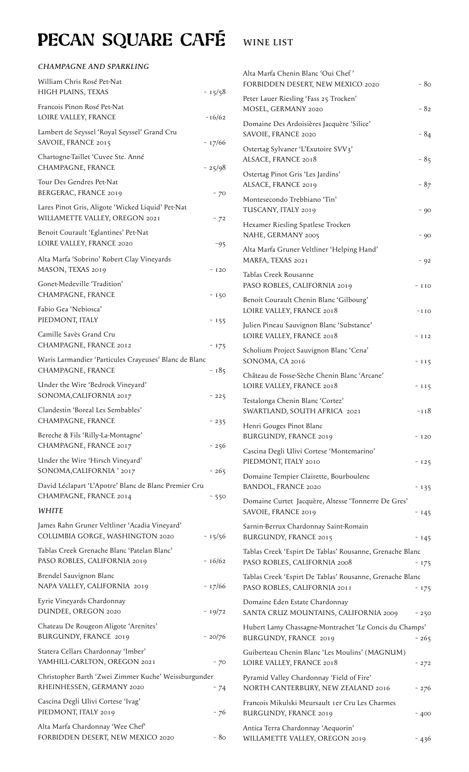## PECAN SQUARE CAFÉ WINE LIST

## *CHAMPAGNE AND SPARKLING*

| William Chris Rosé Pet-Nat<br>HIGH PLAINS, TEXAS                                    | $-15/58$ |
|-------------------------------------------------------------------------------------|----------|
| Francois Pinon Rosé Pet-Nat<br>LOIRE VALLEY, FRANCE                                 | ~16/62   |
| Lambert de Seyssel 'Royal Seyssel' Grand Cru<br>SAVOIE, FRANCE 2015                 | ~17/66   |
| Chartogne-Taillet 'Cuvee Ste. Anné<br>CHAMPAGNE, FRANCE                             | $-25/98$ |
| Tour Des Gendres Pet-Nat<br>BERGERAC, FRANCE 2019                                   | ~ $70$   |
| Lares Pinot Gris, Aligote 'Wicked Liquid' Pet-Nat<br>WILLAMETTE VALLEY, OREGON 2021 | ~572     |
| Benoit Courault 'Eglantines' Pet-Nat<br>LOIRE VALLEY, FRANCE 2020                   | $-95$    |
| Alta Marfa 'Sobrino' Robert Clay Vineyards<br>MASON, TEXAS 2019                     | ~120     |
| Gonet-Medeville 'Tradition'<br>CHAMPAGNE, FRANCE                                    | ~150     |
| Fabio Gea 'Nebiosca'<br>PIEDMONT, ITALY                                             | ~155     |
| Camille Savès Grand Cru<br>CHAMPAGNE, FRANCE 2012                                   | ~175     |
| Waris Larmandier 'Particules Crayeuses' Blanc de Blanc<br>CHAMPAGNE, FRANCE         | ~185     |
| Under the Wire 'Bedrock Vineyard'<br>SONOMA, CALIFORNIA 2017                        | ~1225    |
| Clandestin 'Boreal Les Sembables'<br>CHAMPAGNE, FRANCE                              | ~1235    |
| Bereche & Fils 'Rilly-La-Montagne'<br>CHAMPAGNE, FRANCE 2017                        | ~1256    |
| Under the Wire 'Hirsch Vineyard'<br>SONOMA, CALIFORNIA' 2017                        | ~1265    |
| David Léclapart 'L'Apotre' Blanc de Blanc Premier Cru<br>CHAMPAGNE, FRANCE 2014     | ~550     |
| <b>WHITE</b>                                                                        |          |
| James Rahn Gruner Veltliner 'Acadia Vineyard'<br>COLUMBIA GORGE, WASHINGTON 2020    | $-15/56$ |
| Tablas Creek Grenache Blanc 'Patelan Blanc'<br>PASO ROBLES, CALIFORNIA 2019         | $-16/62$ |
| Brendel Sauvignon Blanc<br>NAPA VALLEY, CALIFORNIA 2019                             | ~17/66   |
| Eyrie Vineyards Chardonnay<br>DUNDEE, OREGON 2020                                   | $-19/72$ |
| Chateau De Rougeon Aligote 'Arenites'<br>BURGUNDY, FRANCE 2019                      | ~20/76   |
| Statera Cellars Chardonnay 'Imber'<br>YAMHILL-CARLTON, OREGON 2021                  | ~ $70$   |
| Christopher Barth 'Zwei Zimmer Kuche' Weissburgunder<br>RHEINHESSEN, GERMANY 2020   | - 74     |
| Cascina Degli Ulivi Cortese 'Ivag'<br>PIEDMONT, ITALY 2019                          | ~576     |
| Alta Marfa Chardonnay 'Wee Chef'<br>FORBIDDEN DESERT, NEW MEXICO 2020               | ~50      |

| Alta Marfa Chenin Blanc 'Oui Chef'<br>FORBIDDEN DESERT, NEW MEXICO 2020                  | - 80       |
|------------------------------------------------------------------------------------------|------------|
| Peter Lauer Riesling 'Fass 25 Trocken'<br>MOSEL, GERMANY 2020                            | $-82$      |
| Domaine Des Ardoisières Jacquère 'Silice'<br>SAVOIE, FRANCE 2020                         | $-84$      |
| Ostertag Sylvaner 'L'Exutoire SVV3'<br>ALSACE, FRANCE 2018                               | $-85$      |
| Ostertag Pinot Gris 'Les Jardins'<br>ALSACE, FRANCE 2019                                 | $-87$      |
| Montesecondo Trebbiano 'Tin'<br>TUSCANY, ITALY 2019                                      | ~ 90       |
| Hexamer Riesling Spatlese Trocken<br>NAHE, GERMANY 2005                                  | ~ 90       |
| Alta Marfa Gruner Veltliner 'Helping Hand'<br>MARFA, TEXAS 2021                          | ~102       |
| Tablas Creek Rousanne<br>PASO ROBLES, CALIFORNIA 2019                                    | ~110       |
| Benoit Courault Chenin Blanc 'Gilbourg'<br>LOIRE VALLEY, FRANCE 2018                     | $\sim$ IIO |
| Julien Pineau Sauvignon Blanc 'Substance'<br>LOIRE VALLEY, FRANCE 2018                   | ~112       |
| Scholium Project Sauvignon Blanc 'Cena'<br>SONOMA, CA 2016                               | ~115       |
| Château de Fosse-Sèche Chenin Blanc 'Arcane'<br>LOIRE VALLEY, FRANCE 2018                | ~115       |
| Testalonga Chenin Blanc 'Cortez'<br>SWARTLAND, SOUTH AFRICA 2021                         | ~118       |
| Henri Gouges Pinot Blanc<br><b>BURGUNDY, FRANCE 2019</b>                                 | ~120       |
| Cascina Degli Ulivi Cortese 'Montemarino'<br>PIEDMONT, ITALY 2010                        | $~125$     |
| Domaine Tempier Clairette, Bourboulenc<br><b>BANDOL, FRANCE 2020</b>                     | ~135       |
| Domaine Curtet Jacquère, Altesse 'Tonnerre De Gres'<br>SAVOIE, FRANCE 2019               | ~145       |
| Sarnin-Berrux Chardonnay Saint-Romain<br><b>BURGUNDY, FRANCE 2015</b>                    | ~145       |
| Tablas Creek 'Espirt De Tablas' Rousanne, Grenache Blanc                                 |            |
| PASO ROBLES, CALIFORNIA 2008<br>Tablas Creek 'Espirt De Tablas' Rousanne, Grenache Blanc | ~175       |
| PASO ROBLES, CALIFORNIA 2011                                                             | ~175       |
| Domaine Eden Estate Chardonnay<br>SANTA CRUZ MOUNTAINS, CALIFORNIA 2009                  | ~1250      |
| Hubert Lamy Chassagne-Montrachet 'Le Concis du Champs'<br>BURGUNDY, FRANCE 2019          | ~1265      |
| Guiberteau Chenin Blanc 'Les Moulins' (MAGNUM)<br>LOIRE VALLEY, FRANCE 2018              | ~1272      |
| Pyramid Valley Chardonnay 'Field of Fire'<br>NORTH CANTERBURY, NEW ZEALAND 2016          | ~276       |
| Francois Mikulski Meursault 1er Cru Les Charmes<br><b>BURGUNDY, FRANCE 2019</b>          | ~400       |
| Antica Terra Chardonnay 'Aequorin'                                                       |            |
| WILLAMETTE VALLEY, OREGON 2019                                                           | ~1436      |